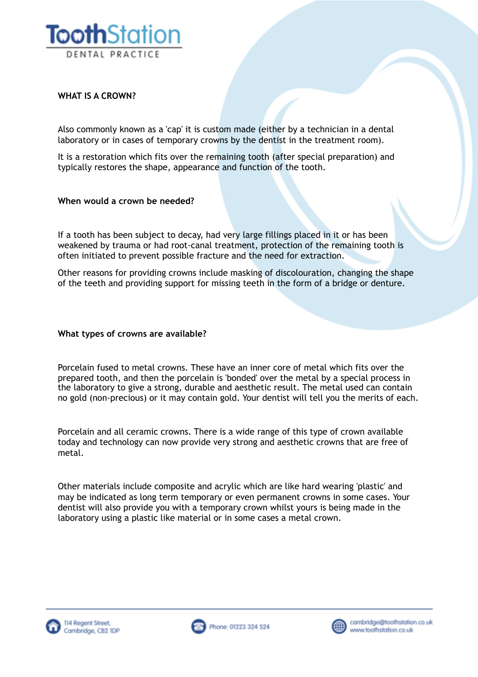

# **WHAT IS A CROWN?**

Also commonly known as a 'cap' it is custom made (either by a technician in a dental laboratory or in cases of temporary crowns by the dentist in the treatment room).

It is a restoration which fits over the remaining tooth (after special preparation) and typically restores the shape, appearance and function of the tooth.

### **When would a crown be needed?**

If a tooth has been subject to decay, had very large fillings placed in it or has been weakened by trauma or had root-canal treatment, protection of the remaining tooth is often initiated to prevent possible fracture and the need for extraction.

Other reasons for providing crowns include masking of discolouration, changing the shape of the teeth and providing support for missing teeth in the form of a bridge or denture.

### **What types of crowns are available?**

Porcelain fused to metal crowns. These have an inner core of metal which fits over the prepared tooth, and then the porcelain is 'bonded' over the metal by a special process in the laboratory to give a strong, durable and aesthetic result. The metal used can contain no gold (non-precious) or it may contain gold. Your dentist will tell you the merits of each.

Porcelain and all ceramic crowns. There is a wide range of this type of crown available today and technology can now provide very strong and aesthetic crowns that are free of metal.

Other materials include composite and acrylic which are like hard wearing 'plastic' and may be indicated as long term temporary or even permanent crowns in some cases. Your dentist will also provide you with a temporary crown whilst yours is being made in the laboratory using a plastic like material or in some cases a metal crown.





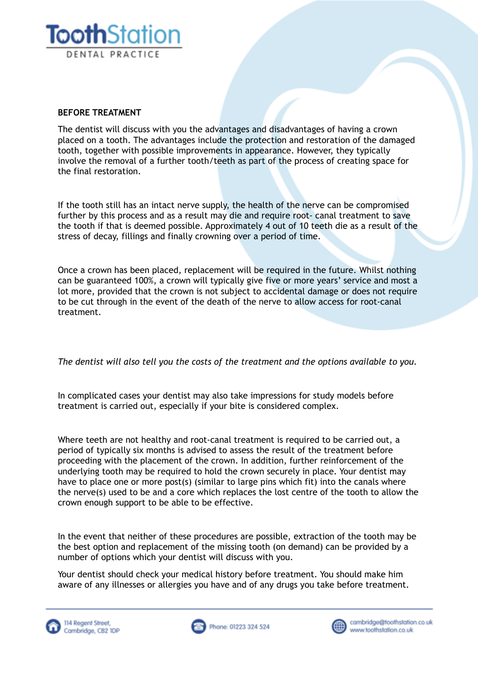

## **BEFORE TREATMENT**

The dentist will discuss with you the advantages and disadvantages of having a crown placed on a tooth. The advantages include the protection and restoration of the damaged tooth, together with possible improvements in appearance. However, they typically involve the removal of a further tooth/teeth as part of the process of creating space for the final restoration.

If the tooth still has an intact nerve supply, the health of the nerve can be compromised further by this process and as a result may die and require root- canal treatment to save the tooth if that is deemed possible. Approximately 4 out of 10 teeth die as a result of the stress of decay, fillings and finally crowning over a period of time.

Once a crown has been placed, replacement will be required in the future. Whilst nothing can be guaranteed 100%, a crown will typically give five or more years' service and most a lot more, provided that the crown is not subject to accidental damage or does not require to be cut through in the event of the death of the nerve to allow access for root-canal treatment.

*The dentist will also tell you the costs of the treatment and the options available to you.*

In complicated cases your dentist may also take impressions for study models before treatment is carried out, especially if your bite is considered complex.

Where teeth are not healthy and root-canal treatment is required to be carried out, a period of typically six months is advised to assess the result of the treatment before proceeding with the placement of the crown. In addition, further reinforcement of the underlying tooth may be required to hold the crown securely in place. Your dentist may have to place one or more post(s) (similar to large pins which fit) into the canals where the nerve(s) used to be and a core which replaces the lost centre of the tooth to allow the crown enough support to be able to be effective.

In the event that neither of these procedures are possible, extraction of the tooth may be the best option and replacement of the missing tooth (on demand) can be provided by a number of options which your dentist will discuss with you.

Your dentist should check your medical history before treatment. You should make him aware of any illnesses or allergies you have and of any drugs you take before treatment.